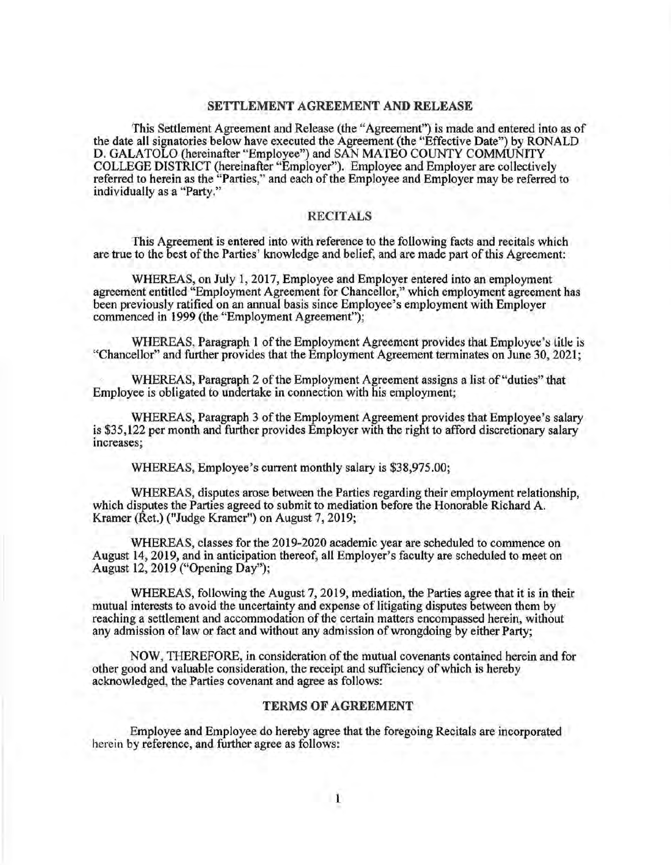## **SETTLEMENT AGREEMENT AND RELEASE**

This Settlement Agreement and Release (the "Agreement") is made and entered into as of the date all signatories below have executed the Agreement (the "Effective Date") by RONALD D. GALATOLO (hereinafter "Employee") and SAN MATEO COUNTY COMMUNITY COLLEGE DISTRICT (hereinafter "Employer"). Employee and Employer are collectively referred to herein as the "Parties," and each of the Employee and Employer may be referred to individually as a "Party."

## **RECITALS**

This Agreement is entered into with reference to the following facts and recitals which are true to the best of the Parties' knowledge and belief, and are made part of this Agreement:

WHEREAS, on July 1, 2017, Employee and Employer entered into an employment agreement entitled "Employment Agreement for Chancellor," which employment agreement has been previously ratified on an annual basis since Employee's employment with Employer commenced in 1999 (the "Employment Agreement");

WHEREAS, Paragraph 1 of the Employment Agreement provides that Employee's litle is "Chancellor" and further provides that the Employment Agreement terminates on June 30, 2021;

WHEREAS, Paragraph 2 of the Employment Agreement assigns a list of "duties" that Employee is obligated to undertake in connection with his employment;

WHEREAS, Paragraph 3 of the Employment Agreement provides that Employee's salary is \$35,122 per month and further provides Employer with the right to afford discretionary salary increases;

WHEREAS, Employee's current monthly salary is \$38,975.00;

WHEREAS, disputes arose between the Parties regarding their employment relationship, which disputes the Parties agreed to submit to mediation before the Honorable Richard A. Kramer (Ret.) ("Judge Kramer") on August 7, 2019;

WHEREAS, classes for the 2019-2020 academic year are scheduled to commence on August 14, 2019, and in anticipation thereof, all Employer's faculty are scheduled to meet on August 12, 2019 ("Opening Day");

WHEREAS, following the August 7, 2019, mediation, the Parties agree that it is in their mutual interests to avoid the uncertainty and expense of litigating disputes between them by reaching a settlement and accommodation of the certain matters encompassed herein, without any admission of law or fact and without any admission of wrongdoing by either Party;

NOW, THEREFORE, in consideration of the mutual covenants contained herein and for other good and valuable consideration, the receipt and sufficiency of which is hereby acknowledged, the Parties covenant and agree as follows:

## **TERMS OF AGREEMENT**

Employee and Employee do hereby agree that the foregoing Recitals are incorporated herein by reference, and further agree as follows: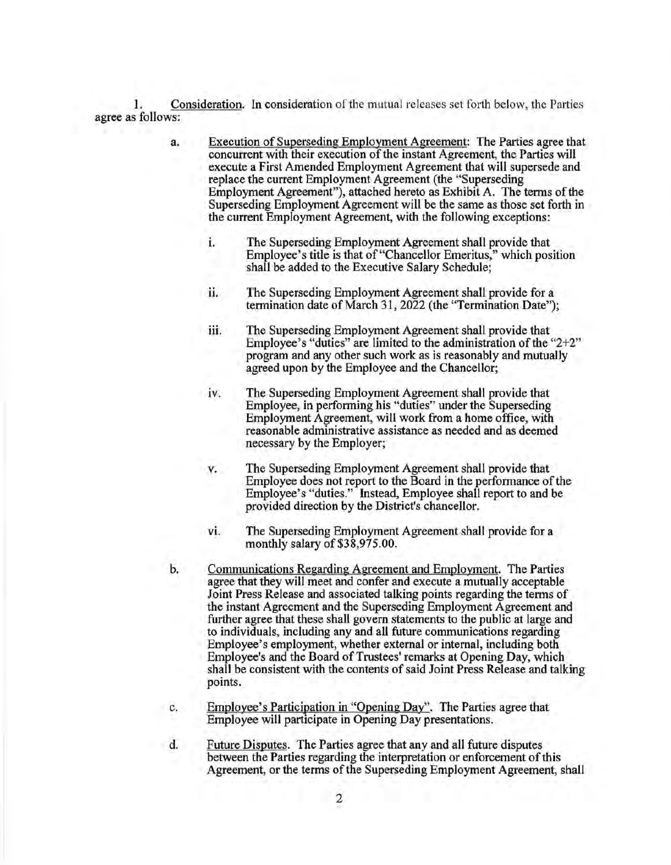1. Consideration. In consideration of the mutual releases set forth below, the Parties agree as follows:

- a. Execution of Superseding Employment Agreement: The Parties agree that concurrent with their execution of the instant Agreement, the Parties will execute a First Amended Employment Agreement that will supersede and replace the current Employment Agreement (the "Superseding Employment Agreement"), attached hereto as Exhibit A. The terms of the Superseding Employment Agreement will be the same as those set forth in the current Employment Agreement, with the following exceptions:
	- 1. The Superseding Employment Agreement shall provide that Employee's title is that of "Chancellor Emeritus," which position shall be added to the Executive Salary Schedule;
	- ii. The Superseding Employment Agreement shall provide for a termination date of March 31, 2022 (the "Termination Date");
	- iii. The Superseding Employment Agreement shall provide that Employee's "duties" are limited to the administration of the "2+2" program and any other such work as is reasonably and mutually agreed upon by the Employee and the Chancellor;
	- iv. The Superseding Employment Agreement shall provide that Employee, in performing his "duties" under the Superseding Employment Agreement, will work from a home office, with reasonable administrative assistance as needed and as deemed necessary by the Employer;
	- v. The Superseding Employment Agreement shall provide that Employee does not report to the Board in the performance of the Employee's "duties." Instead, Employee shall report to and be provided direction by the District's chancellor.
	- vi. The Superseding Employment Agreement shall provide for a monthly salary of \$38,975.00.
- b. Communications Regarding Agreement and Employment. The Parties agree that they will meet and confer and execute a mutually acceptable Joint Press Release and associated talking points regarding the terms of the instant Agreement and the Superseding Employment Agreement and further agree that these shall govern statements to the public at large and to individuals, including any and all future communications regarding Employee's employment, whether external or internal, including both Employee's and the Board of Trustees' remarks at Opening Day, which shall be consistent with the contents of said Joint Press Release and talking points.
- C. Employee's Participation in "Opening Day". The Parties agree that Employee will participate in Opening Day presentations.
- d. Future Disputes. The Parties agree that any and all future disputes between the Parties regarding the interpretation or enforcement of this Agreement, or the terms of the Superseding Employment Agreement, shall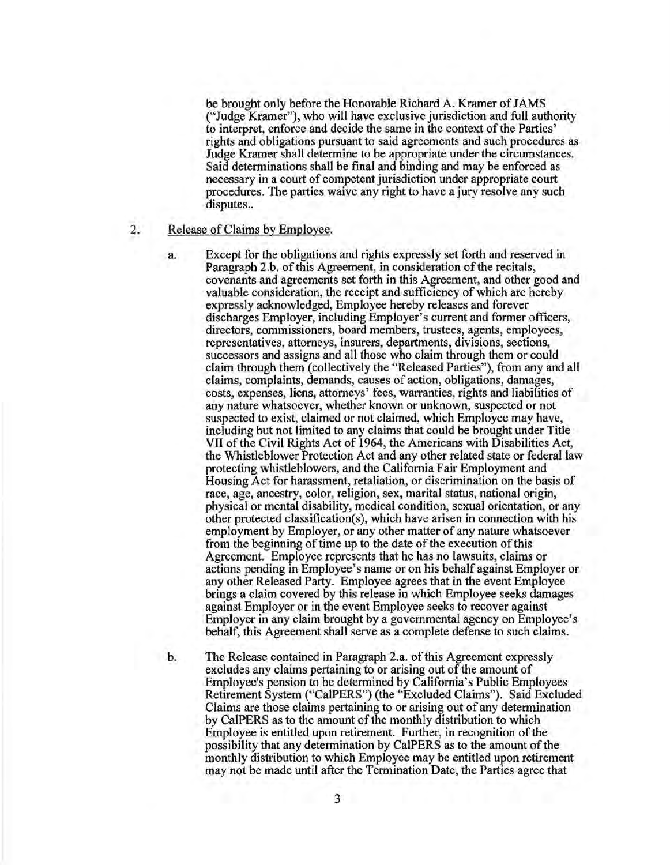be brought only before the Honorable Richard A. Kramer of JAMS ("Judge Kramer"), who will have exclusive jurisdiction and full authority to interpret, enforce and decide the same in the context of the Parties' rights and obligations pursuant to said agreements and such procedures as Judge Kramer shall determine to be appropriate under the circumstances. Said determinations shall be final and binding and may be enforced as necessary in a court of competent jurisdiction under appropriate court procedures. The parties waive any right to have a jury resolve any such disputes..

- 2. Release of Claims by Employee.
	- a. Except for the obligations and rights expressly set forth and reserved in Paragraph 2.b. of this Agreement, in consideration of the recitals, covenants and agreements set forth in this Agreement, and other good and valuable consideration, the receipt and sufficiency of which arc hereby expressly acknowledged, Employee hereby releases and forever discharges Employer, including Employer's current and former officers, directors, commissioners, board members, trustees, agents, employees, representatives, attorneys, insurers, departments, divisions, sections, successors and assigns and all those who claim through them or could claim through them (collectively the "Released Parties"), from any and all claims, complaints, demands, causes of action, obligations, damages, costs, expenses, liens, attorneys' fees, warranties, rights and liabilities of any nature whatsoever, whether known or unknown, suspected or not suspected to exist, claimed or not claimed, which Employee may have, including but not limited to any claims that could be brought under Title VII of the Civil Rights Act of 1964, the Americans with Disabilities Act, the Whistleblower Protection Act and any other related state or federal law protecting whistleblowers, and the California Fair Employment and Housing Act for harassment, retaliation, or discrimination on the basis of race, age, ancestry, color, religion, sex, marital status, national origin, physical or mental disability, medical condition, sexual orientation, or any other protected classification(s), which have arisen in connection with his employment by Employer, or any other matter of any nature whatsoever from the beginning of time up to the date of the execution of this Agreement. Employee represents that he has no lawsuits, claims or actions pending in Employee's name or on his behalf against Employer or any other Released Party. Employee agrees that in the event Employee brings a claim covered by this release in which Employee seeks damages against Employer or in the event Employee seeks to recover against Employer in any claim brought by a governmental agency on Employee's behalf, this Agreement shall serve as a complete defense to such claims.
	- b. The Release contained in Paragraph 2.a. of this Agreement expressly excludes any claims pertaining to or arising out of the amount of Employee's pension to be determined by California's Public Employees Retirement System ("CalPERS") (the "Excluded Claims"). Said Excluded Claims are those claims pertaining to or arising out of any determination by CalPERS as to the amount of the monthly distribution to which Employee is entitled upon retirement. Further, in recognition of the possibility that any determination by CalPERS as to the amount of the monthly distribution to which Employee may be entitled upon retirement may not be made until after the Termination Date, the Parties agree that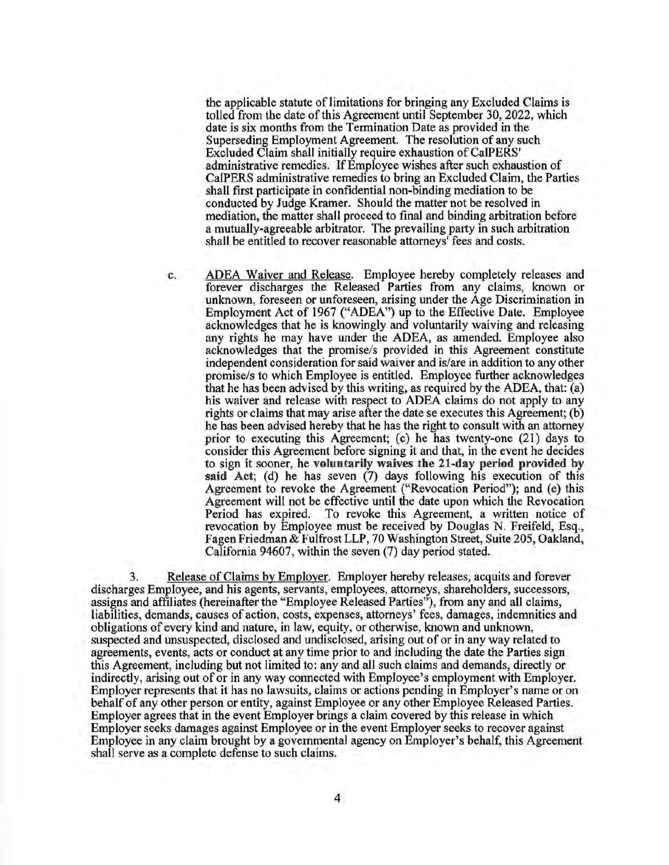the applicable statute of limitations for bringing any Excluded Claims is tolled from the date of this Agreement until September 30, 2022, which date is six months from the Termination Date as provided in the Superseding Employment Agreement. The resolution of any such Excluded Claim shall initially require exhaustion of CalPERS' administrative remedies. If Employee wishes after such exhaustion of CalPERS administrative remedies to bring an Excluded Claim, the Parties shall first participate in confidential non-binding mediation to be conducted by Judge Kramer. Should the matter not be resolved in mediation, the matter shall proceed to final and binding arbitration before a mutually-agreeable arbitrator. The prevailing party in such arbitration shall be entitled to recover reasonable attorneys' fees and costs.

c. ADEA Waiver and Release. Employee hereby completely releases and forever discharges the Released Parties from any claims, known or unknown, foreseen or unforeseen, arising under the Age Discrimination in Employment Act of 1967 ("ADEA'') up to the Effeclive Dale. Employee acknowledges that he is knowingly and voluntarily waiving and releasing any rights he may have under the ADEA, as amended. Employee also acknowledges that the promise/s provided in this Agreement constitute independent consideration for said waiver and is/are in addition to any other promise/s to which Employee is entitled. Employee further acknowledges that he has been advised by this writing, as required by the ADEA, that: (a) his waiver and release with respect to ADEA claims do not apply to any rights or claims that may arise after the date se executes this Agreement; (b) he has been advised hereby that he has the right to consult with an attorney prior to executing this Agreement; (c) he has twenty-one  $(21)$  days to consider this Agreement before signing it and that, in the event he decides to sign it sooner, he **voluntarily waives the 21-day period provided by**  said Act; (d) he has seven (7) days following his execution of this Agreement to revoke the Agreement ("Revocation Period"); and (e) this Agreement will not be effective until the date upon which the Revocation Period has expired. To revoke this Agreement, a written notice of revocation by Employee must be received by Douglas N. Freifeld, Esq., Fagen Friedman & Fulfrost LLP, 70 Washington Street, Suite 205, Oakland, California 94607, within the seven (7) day period stated.

3. Release of Claims by Employer. Employer hereby releases, acquits and forever discharges Employee, and his agents, servants, employees, attorneys, shareholders, successors, assigns and affiliates (hereinafter the "Employee Released Parties"), from any and all claims, liabilities, demands, causes of action, costs, expenses, attorneys' fees, damages, indemnities and obligations of every kind and nature, in law, equity, or otherwise, known and unknown, suspected and unsuspected, disclosed and undisclosed, arising out of or in any way related to agreements, events, acts or conduct at any time prior to and including the date the Parties sign this Agreement, including but not limited to: any and all such claims and demands, directly or indirectly, arising out of or in any way connected with Employee's employment with Employer. Employer represents that it has no lawsuits, claims or actions pending in Employer's name or on behalf of any other person or entity, against Employee or any other Employee Released Parties. Employer agrees that in the event Employer brings a claim covered by this release in which Employer seeks damages against Employee or in the event Employer seeks to recover against Employee in any claim brought by a governmental agency on Employer's behalf, this Agreement shall serve as a complete defense to such claims.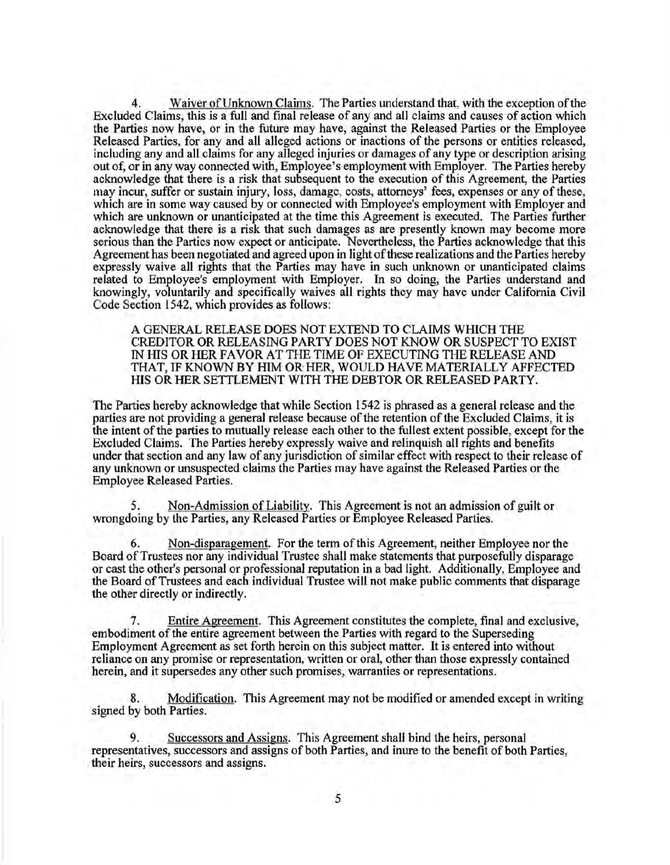Waiver of Unknown Claims. The Parties understand that, with the exception of the Excluded Claims, this is a full and final release of any and all claims and causes of action which the Parties now have, or in the future may have, against the Released Parties or the Employee Released Parties, for any and all alleged actions or inactions of the persons or entities released, including any and all claims for any alleged injuries or damages of ahy type or description arising out of, or in any way connected with, Employee's employment with Employer. The Parties hereby acknowledge that there is a risk that subsequent to the execution of this Agreement, the Parties may incur, suffer or sustain injury, loss, damage, costs, attorneys' fees, expenses or any of these, which are in some way caused by or connected with Employee's employment with Employer and which are unknown or unanticipated at the time this Agreement is executed. The Parties further acknowledge that there is a risk that such damages as are presently known may become more serious than the Parties now expect or anticipate. Nevertheless, the Parties acknowledge that this Agreement has been negotiated and agreed upon in light of these realizations and the Parties hereby expressly waive all rights that the Parties may have in such unknown or unanticipated claims related to Employee's employment with Employer. In so doing, the Parties understand and knowingly, voluntarily and specifically waives all rights they may have under California Civil Code Section 1542, which provides as follows:

A GENERAL RELEASE DOES NOT EXTEND TO CLAIMS WHICH THE CREDITOR OR RELEASING PARTY DOES NOT KNOW OR SUSPECT TO EXIST IN HIS OR HER FAVOR AT THE TIME OF EXECUTING THE RELEASE AND THAT, IF KNOWN BY HIM OR HER, WOULD HA VE MATERIALLY AFFECTED HIS OR HER SETTLEMENT WITH THE DEBTOR OR RELEASED PARTY.

The Parties hereby acknowledge that while Section 1542 is phrased as a general release and the parties are not providing a general release because of the retention of the Excluded Claims, it is the intent of the parties to mutually release each other to the fullest extent possible, except for the Excluded Claims. The Parties hereby expressly waive and relinquish all rights and benefits under that section and any law of any jurisdiction of similar effect with respect to their release of any unknown or unsuspected claims the Parties may have against the Released Parties or the Employee Released Parties.

*5.* Non-Admission of Liability. This Agreement is not an admission of guilt or wrongdoing by the Parties, any Released Parties or Employee Released Parties.

6. Non-disparagement. For the term of this Agreement, neither Employee nor the Board of Trustees nor any individual Trustee shall make statements that purposefully disparage or cast the other's personal or professional reputation in a bad light. Additionally, Employee and the Board of Trustees and each individual Trustee will not make public comments that disparage the other directly or indirectly.

7. Entire Agreement. This Agreement constitutes the complete, final and exclusive, embodiment of the entire agreement between the Parties with regard to the Superseding Employment Agreement as set forth herein on this subject matter. It is entered into without reliance on any promise or representation, written or oral, other than those expressly contained herein, and it supersedes any other such promises, warranties or representations.

8. Modification. This Agreement may not be modified or amended except in writing signed by both Parties.

9. Successors and Assigns. This Agreement shall bind the heirs, personal representatives, successors and assigns of both Parties, and inure to the benefit of both Parties, their heirs, successors and assigns.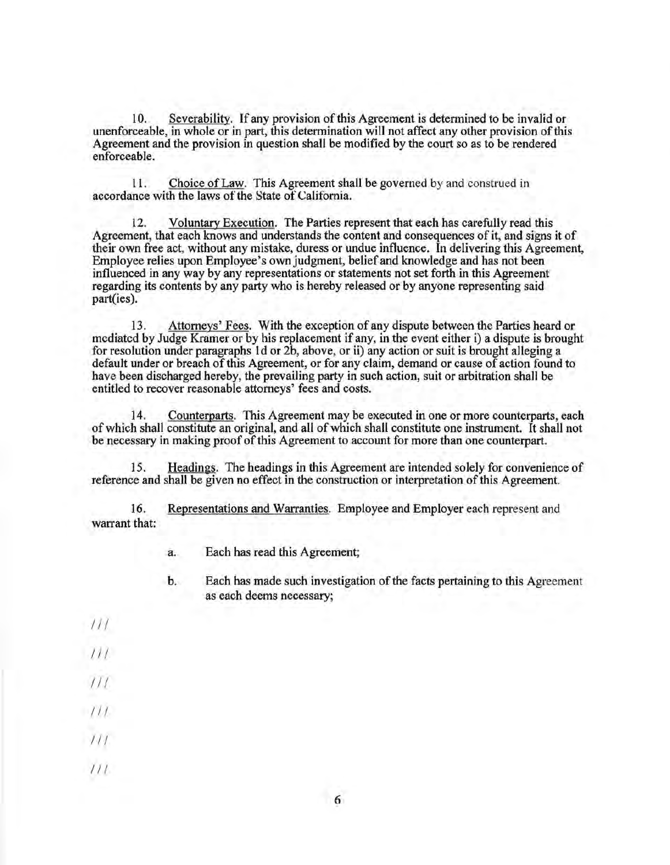10. Severability. If any provision of this Agreement is determined to be invalid or unenforceable, in whole or in part, this determination will not affect any other provision of this Agreement and the provision in question shall be modified by the court so as to be rendered enforceable.

11. Choice of Law. This Agreement shall be governed by and construed in accordance with the laws of the State of California.

12. Voluntary Execution. The Parties represent that each has carefully read this Agreement, that each knows and understands the content and consequences of it, and signs it of their own free act, without any mistake, duress or undue influence. In delivering this Agreement, Employee relies upon Employee's own judgment, belief and knowledge and has not been influenced in any way by any representations or statements not set forth in this Agreement regarding its contents by any party who is hereby released or by anyone representing said part(ies).

13. Attorneys' Fees. With the exception of any dispute between the Parties heard or mediated by Judge Kramer or by his replacement if any, in the event either i) a dispute is brought for resolution under paragraphs 1d or 2b, above, or ii) any action or suit is brought alleging a default under or breach of this Agreement, or for any claim, demand or cause of action found to have been discharged hereby, the prevailing party in such action, suit or arbitration shall be entitled to recover reasonable attorneys' fees and costs.

14. Counterparts. This Agreement may be executed in one or more counterparts, each of which shall constitute an original, and all of which shall constitute one instrument. It shall not be necessary in making proof of this Agreement to account for more than one counterpart.

15. Headings. The headings in this Agreement are intended solely for convenience of reference and shall be given no effect in the construction or interpretation of this Agreement.

16. Representations and Warranties. Employee and Employer each represent and warrant that:

a. Each has read this Agreement;

- b. Each has made such investigation of the facts pertaining to this Agreement as each deems necessary;
- *Ill*
- $111$
- *Ill*
- $111$
- $111$
- *Ill*